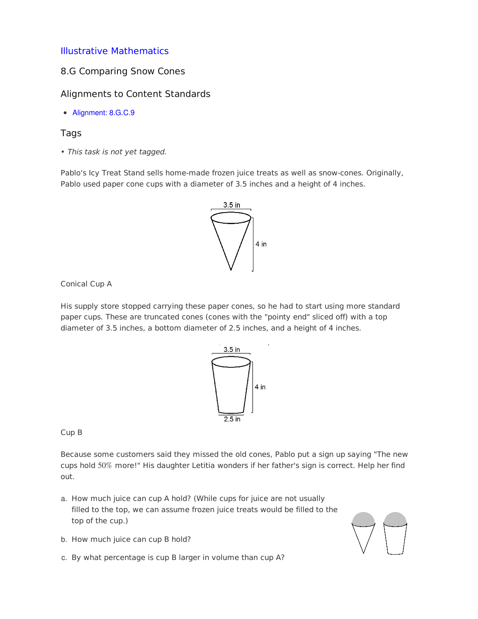# Illustrative [Mathematics](http://www.illustrativemathematics.org)

## 8.G Comparing Snow Cones

## Alignments to Content Standards

Alignment: 8.G.C.9

### Tags

• This task is not yet tagged.

Pablo's Icy Treat Stand sells home-made frozen juice treats as well as snow-cones. Originally, Pablo used paper cone cups with a diameter of 3.5 inches and a height of 4 inches.



Conical Cup A

His supply store stopped carrying these paper cones, so he had to start using more standard paper cups. These are truncated cones (cones with the "pointy end" sliced off) with a top diameter of 3.5 inches, a bottom diameter of 2.5 inches, and a height of 4 inches.



Cup B

Because some customers said they missed the old cones, Pablo put a sign up saying "The new cups hold  $50\%$  more!" His daughter Letitia wonders if her father's sign is correct. Help her find out.

- a. How much juice can cup A hold? (While cups for juice are not usually filled to the top, we can assume frozen juice treats would be filled to the top of the cup.)
- b. How much juice can cup B hold?
- c. By what percentage is cup B larger in volume than cup A?

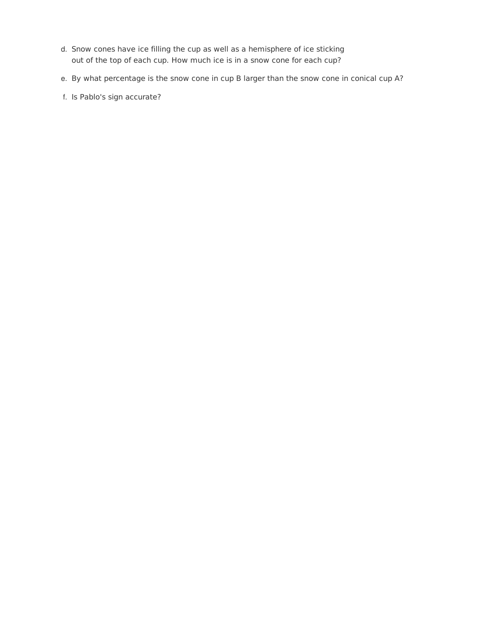- d. Snow cones have ice filling the cup as well as a hemisphere of ice sticking out of the top of each cup. How much ice is in a snow cone for each cup?
- e. By what percentage is the snow cone in cup B larger than the snow cone in conical cup A?
- f. Is Pablo's sign accurate?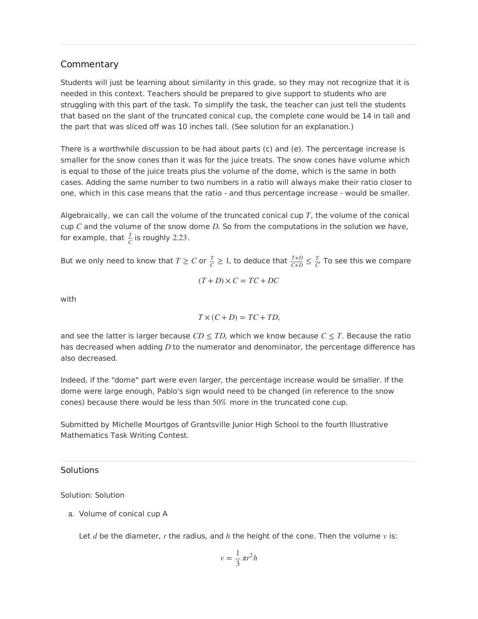# **Commentary**

Students will just be learning about similarity in this grade, so they may not recognize that it is needed in this context. Teachers should be prepared to give support to students who are struggling with this part of the task. To simplify the task, the teacher can just tell the students that based on the slant of the truncated conical cup, the complete cone would be 14 in tall and the part that was sliced off was 10 inches tall. (See solution for an explanation.)

There is a worthwhile discussion to be had about parts (c) and (e). The percentage increase is smaller for the snow cones than it was for the juice treats. The snow cones have volume which is equal to those of the juice treats plus the volume of the dome, which is the same in both cases. Adding the same number to two numbers in a ratio will always make their ratio closer to one, which in this case means that the ratio - and thus percentage increase - would be smaller.

Algebraically, we can call the volume of the truncated conical cup  $T$ , the volume of the conical cup  $C$  and the volume of the snow dome  $D$ . So from the computations in the solution we have, for example, that  $\frac{T}{C}$  is roughly 2.23.

But we only need to know that  $T \ge C$  or  $\frac{T}{C} \ge 1$ , to deduce that  $\frac{T+D}{C+D} \le \frac{T}{C}$ . To see this we compare *C*+*D T C*

$$
(T+D)\times C = TC + DC
$$

with

$$
T \times (C + D) = TC + TD,
$$

and see the latter is larger because  $CD \leq TD$ , which we know because  $C \leq T$ . Because the ratio has decreased when adding *D* to the numerator and denominator, the percentage difference has also decreased.

Indeed, if the "dome" part were even larger, the percentage increase would be smaller. If the dome were large enough, Pablo's sign would need to be changed (in reference to the snow cones) because there would be less than  $50\%$  more in the truncated cone cup.

Submitted by Michelle Mourtgos of Grantsville Junior High School to the fourth Illustrative Mathematics Task Writing Contest.

#### **Solutions**

Solution: Solution

a. Volume of conical cup A

Let  $d$  be the diameter,  $r$  the radius, and  $h$  the height of the cone. Then the volume  $v$  is:

$$
v = \frac{1}{3} \pi r^2 h
$$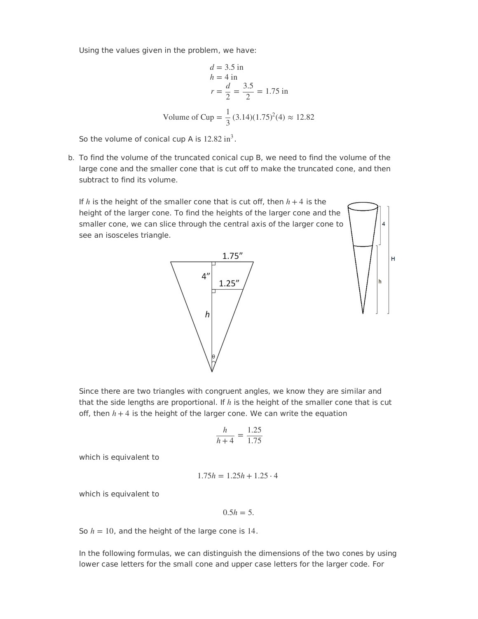Using the values given in the problem, we have:

$$
d = 3.5 \text{ in}
$$
  
\n
$$
h = 4 \text{ in}
$$
  
\n
$$
r = \frac{d}{2} = \frac{3.5}{2} = 1.75 \text{ in}
$$
  
\nVolume of Cup =  $\frac{1}{3}$ (3.14)(1.75)<sup>2</sup>(4) ≈ 12.82

So the volume of conical cup A is  $12.82 \text{ in}^3$ .

b. To find the volume of the truncated conical cup B, we need to find the volume of the large cone and the smaller cone that is cut off to make the truncated cone, and then subtract to find its volume.

If  $h$  is the height of the smaller cone that is cut off, then  $h+4$  is the height of the larger cone. To find the heights of the larger cone and the smaller cone, we can slice through the central axis of the larger cone to see an isosceles triangle.



н

Since there are two triangles with congruent angles, we know they are similar and that the side lengths are proportional. If  $h$  is the height of the smaller cone that is cut off, then  $h+4$  is the height of the larger cone. We can write the equation

$$
\frac{h}{h+4} = \frac{1.25}{1.75}
$$

which is equivalent to

$$
1.75h = 1.25h + 1.25 \cdot 4
$$

which is equivalent to

$$
0.5h=5.
$$

So  $h = 10$ , and the height of the large cone is  $14$ .

In the following formulas, we can distinguish the dimensions of the two cones by using lower case letters for the small cone and upper case letters for the larger code. For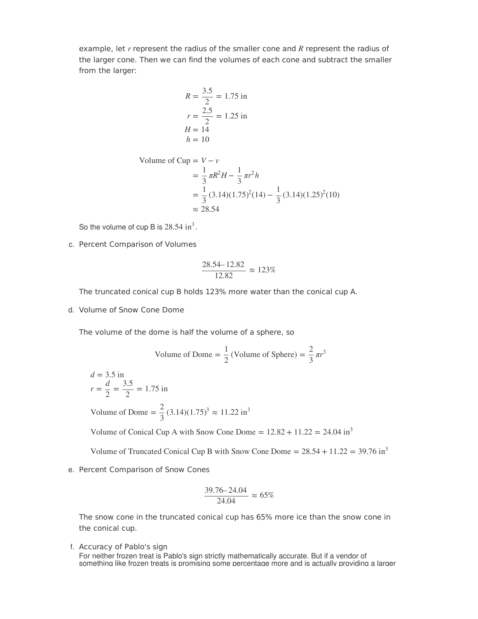example, let r represent the radius of the smaller cone and R represent the radius of the larger cone. Then we can find the volumes of each cone and subtract the smaller from the larger:

$$
R = \frac{3.5}{2} = 1.75 \text{ in}
$$
  

$$
r = \frac{2.5}{2} = 1.25 \text{ in}
$$
  

$$
H = 14
$$
  

$$
h = 10
$$

Volume of Cup = 
$$
V - v
$$
  
\n=  $\frac{1}{3} \pi R^2 H - \frac{1}{3} \pi r^2 h$   
\n=  $\frac{1}{3} (3.14)(1.75)^2 (14) - \frac{1}{3} (3.14)(1.25)^2 (10)$   
\n $\approx 28.54$ 

So the volume of cup B is  $28.54 \text{ in}^3$ .

c. Percent Comparison of Volumes

$$
\frac{28.54 - 12.82}{12.82} \approx 123\%
$$

The truncated conical cup B holds 123% more water than the conical cup A.

d. Volume of Snow Cone Dome

The volume of the dome is half the volume of a sphere, so

Volume of Dome = 
$$
\frac{1}{2}
$$
 (Volume of Sphere) =  $\frac{2}{3} \pi r^3$ 

$$
d = 3.5 \text{ in}
$$
  

$$
r = \frac{d}{2} = \frac{3.5}{2} = 1.75 \text{ in}
$$

Volume of Dome =  $\frac{2}{2}$  (3.14)(1.75)<sup>3</sup>  $\approx$  11.22 i  $\frac{2}{3}$  (3.14)(1.75)<sup>3</sup>  $\approx$  11.22 in<sup>3</sup>

Volume of Conical Cup A with Snow Cone Dome =  $12.82 + 11.22 = 24.04 \text{ in}^3$ 

Volume of Truncated Conical Cup B with Snow Cone Dome  $= 28.54 + 11.22 = 39.76$  in<sup>3</sup>

e. Percent Comparison of Snow Cones

$$
\frac{39.76 - 24.04}{24.04} \approx 65\%
$$

The snow cone in the truncated conical cup has 65% more ice than the snow cone in the conical cup.

f. Accuracy of Pablo's sign

For neither frozen treat is Pablo's sign strictly mathematically accurate. But if a vendor of something like frozen treats is promising some percentage more and is actually providing a larger